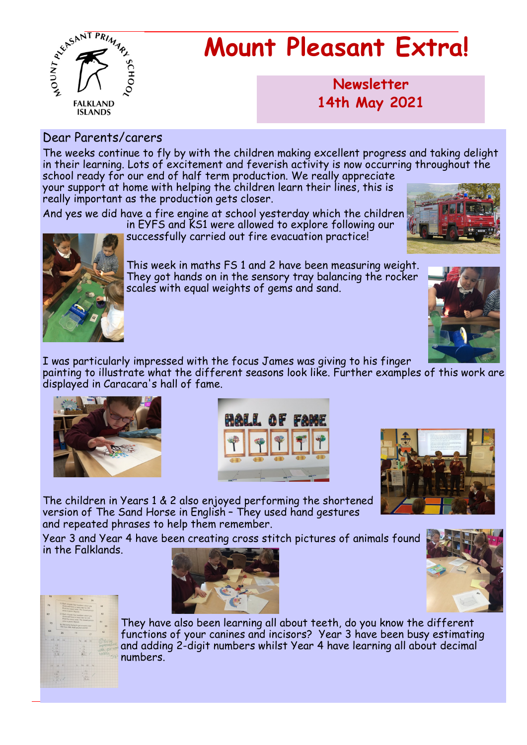

# **Mount Pleasant Extra!**

**Newsletter now 14th May 2021**

#### Dear Parents/carers

The weeks continue to fly by with the children making excellent progress and taking delight in their learning. Lots of excitement and feverish activity is now occurring throughout the school ready for our end of half term production. We really appreciate

your support at home with helping the children learn their lines, this is really important as the production gets closer.

And yes we did have a fire engine at school yesterday which the children

in EYFS and KS1 were allowed to explore following our successfully carried out fire evacuation practice!

scales with equal weights of gems and sand.





This week in maths FS 1 and 2 have been measuring weight. They got hands on in the sensory tray balancing the rocker



I was particularly impressed with the focus James was giving to his finger painting to illustrate what the different seasons look like. Further examples of this work are displayed in Caracara's hall of fame.







The children in Years 1 & 2 also enjoyed performing the shortened version of The Sand Horse in English – They used hand gestures and repeated phrases to help them remember.

Year 3 and Year 4 have been creating cross stitch pictures of animals found in the Falklands.







They have also been learning all about teeth, do you know the different functions of your canines and incisors? Year 3 have been busy estimating and adding 2-digit numbers whilst Year 4 have learning all about decimal numbers.